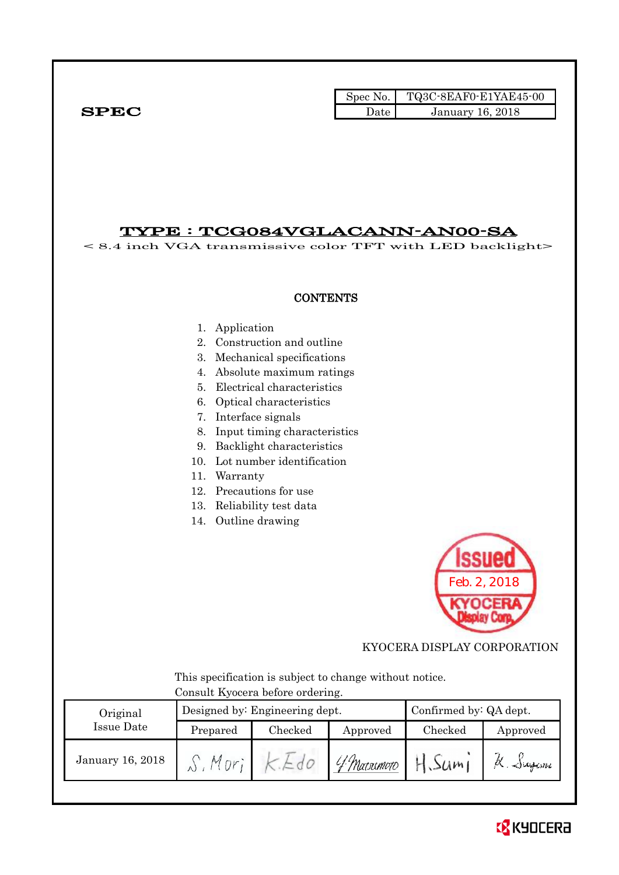Spec No. TQ3C-8EAF0-E1YAE45-00  $SPEC$  Date January 16, 2018

### TYPE : TCG084VGLACANN-AN00-SA

< 8.4 inch VGA transmissive color TFT with LED backlight>

### **CONTENTS**

- 1. Application
- 2. Construction and outline
- 3. Mechanical specifications
- 4. Absolute maximum ratings
- 5. Electrical characteristics
- 6. Optical characteristics
- 7. Interface signals
- 8. Input timing characteristics
- 9. Backlight characteristics
- 10. Lot number identification
- 11. Warranty
- 12. Precautions for use
- 13. Reliability test data
- 14. Outline drawing



KYOCERA DISPLAY CORPORATION

 This specification is subject to change without notice. Consult Kyocera before ordering.

| Original         |          | Designed by: Engineering dept. | Confirmed by: QA dept. |         |              |  |
|------------------|----------|--------------------------------|------------------------|---------|--------------|--|
| Issue Date       | Prepared | Checked                        | Approved               | Checked | Approved     |  |
| January 16, 2018 |          |                                | l f Marximoto          | 51/m    | $\sim$ igani |  |

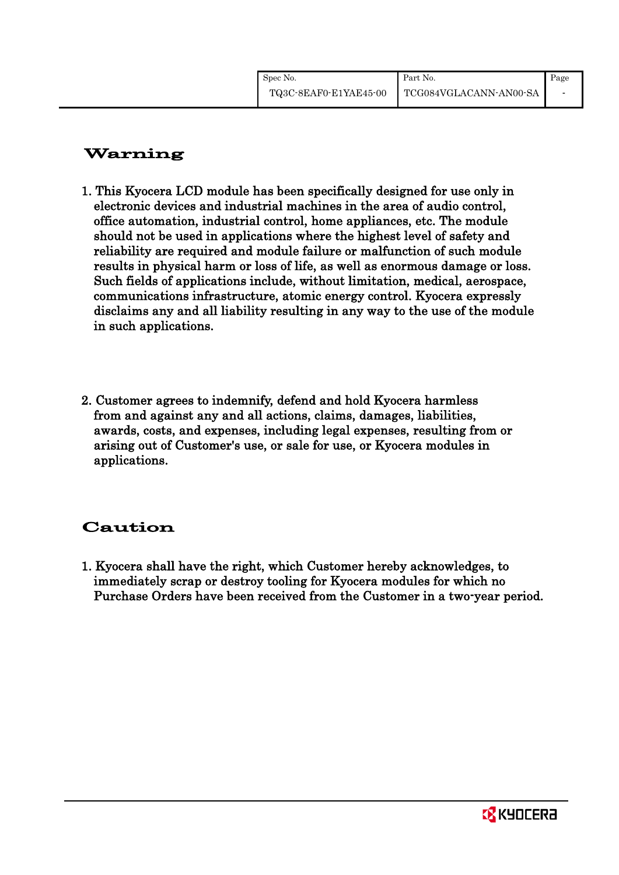# Warning

- 1. This Kyocera LCD module has been specifically designed for use only in electronic devices and industrial machines in the area of audio control, office automation, industrial control, home appliances, etc. The module should not be used in applications where the highest level of safety and reliability are required and module failure or malfunction of such module results in physical harm or loss of life, as well as enormous damage or loss. Such fields of applications include, without limitation, medical, aerospace, communications infrastructure, atomic energy control. Kyocera expressly disclaims any and all liability resulting in any way to the use of the module in such applications.
- 2. Customer agrees to indemnify, defend and hold Kyocera harmless from and against any and all actions, claims, damages, liabilities, awards, costs, and expenses, including legal expenses, resulting from or arising out of Customer's use, or sale for use, or Kyocera modules in applications.

## Caution

1. Kyocera shall have the right, which Customer hereby acknowledges, to immediately scrap or destroy tooling for Kyocera modules for which no Purchase Orders have been received from the Customer in a two-year period.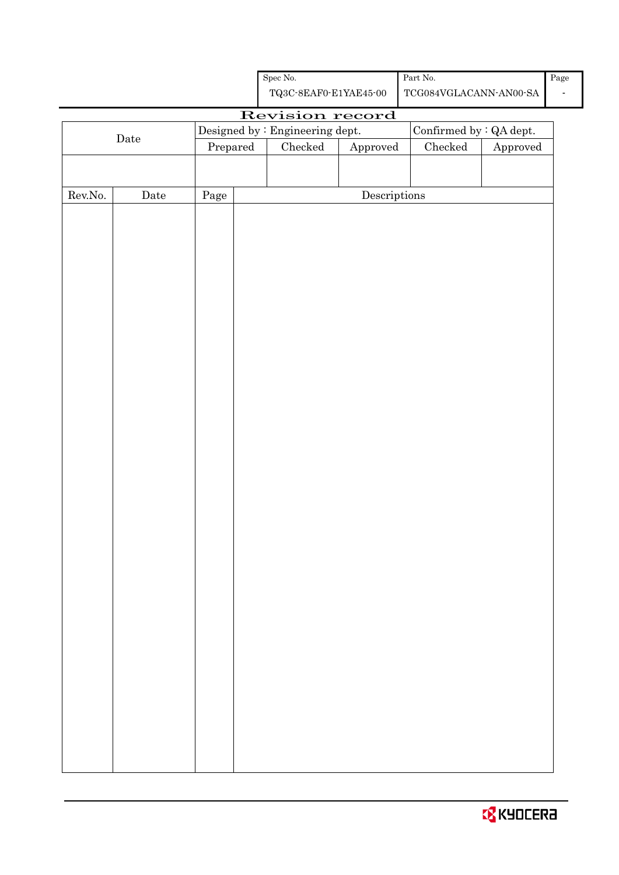| <b>EX</b> KYOCERA |  |
|-------------------|--|
|                   |  |

| Spec No.                            | Part No.      |
|-------------------------------------|---------------|
| $TQ3C-8E\Delta F0-F1V\Delta E45-00$ | TUGORAVGI AUA |

TQ3C-8EAF0-E1YAE45-00 TCG084VGLACANN-AN00-SA

Page -

# Revision record

|                  | <u>nevision record</u><br>Confirmed by $\colon$ QA dept.<br>Designed by : Engineering dept. |          |  |                                              |                                      |  |          |
|------------------|---------------------------------------------------------------------------------------------|----------|--|----------------------------------------------|--------------------------------------|--|----------|
|                  | $\rm{Date}$                                                                                 |          |  |                                              |                                      |  |          |
|                  |                                                                                             | Prepared |  | $\rm Checked$<br>${\it Checked}$<br>Approved |                                      |  | Approved |
|                  |                                                                                             |          |  |                                              |                                      |  |          |
|                  |                                                                                             |          |  |                                              |                                      |  |          |
| ${\rm Rev. No.}$ | $\rm{\textbf{Date}}$                                                                        | Page     |  |                                              | $\label{eq:2} \textbf{Descriptions}$ |  |          |
|                  |                                                                                             |          |  |                                              |                                      |  |          |
|                  |                                                                                             |          |  |                                              |                                      |  |          |
|                  |                                                                                             |          |  |                                              |                                      |  |          |
|                  |                                                                                             |          |  |                                              |                                      |  |          |
|                  |                                                                                             |          |  |                                              |                                      |  |          |
|                  |                                                                                             |          |  |                                              |                                      |  |          |
|                  |                                                                                             |          |  |                                              |                                      |  |          |
|                  |                                                                                             |          |  |                                              |                                      |  |          |
|                  |                                                                                             |          |  |                                              |                                      |  |          |
|                  |                                                                                             |          |  |                                              |                                      |  |          |
|                  |                                                                                             |          |  |                                              |                                      |  |          |
|                  |                                                                                             |          |  |                                              |                                      |  |          |
|                  |                                                                                             |          |  |                                              |                                      |  |          |
|                  |                                                                                             |          |  |                                              |                                      |  |          |
|                  |                                                                                             |          |  |                                              |                                      |  |          |
|                  |                                                                                             |          |  |                                              |                                      |  |          |
|                  |                                                                                             |          |  |                                              |                                      |  |          |
|                  |                                                                                             |          |  |                                              |                                      |  |          |
|                  |                                                                                             |          |  |                                              |                                      |  |          |
|                  |                                                                                             |          |  |                                              |                                      |  |          |
|                  |                                                                                             |          |  |                                              |                                      |  |          |
|                  |                                                                                             |          |  |                                              |                                      |  |          |
|                  |                                                                                             |          |  |                                              |                                      |  |          |
|                  |                                                                                             |          |  |                                              |                                      |  |          |
|                  |                                                                                             |          |  |                                              |                                      |  |          |
|                  |                                                                                             |          |  |                                              |                                      |  |          |
|                  |                                                                                             |          |  |                                              |                                      |  |          |
|                  |                                                                                             |          |  |                                              |                                      |  |          |
|                  |                                                                                             |          |  |                                              |                                      |  |          |
|                  |                                                                                             |          |  |                                              |                                      |  |          |
|                  |                                                                                             |          |  |                                              |                                      |  |          |
|                  |                                                                                             |          |  |                                              |                                      |  |          |
|                  |                                                                                             |          |  |                                              |                                      |  |          |
|                  |                                                                                             |          |  |                                              |                                      |  |          |
|                  |                                                                                             |          |  |                                              |                                      |  |          |
|                  |                                                                                             |          |  |                                              |                                      |  |          |
|                  |                                                                                             |          |  |                                              |                                      |  |          |
|                  |                                                                                             |          |  |                                              |                                      |  |          |
|                  |                                                                                             |          |  |                                              |                                      |  |          |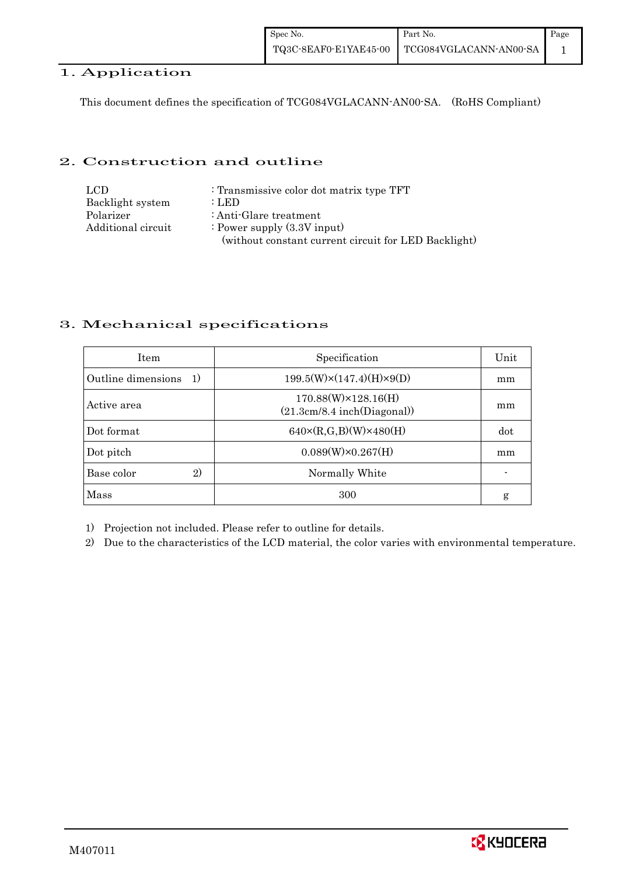### 1. Application

This document defines the specification of TCG084VGLACANN-AN00-SA. (RoHS Compliant)

### 2. Construction and outline

| LCD.               | : Transmissive color dot matrix type TFT             |
|--------------------|------------------------------------------------------|
| Backlight system   | : LED                                                |
| Polarizer          | : Anti-Glare treatment                               |
| Additional circuit | : Power supply $(3.3V$ input)                        |
|                    | (without constant current circuit for LED Backlight) |

### 3. Mechanical specifications

| <b>Item</b>                | Specification                                              | Unit |
|----------------------------|------------------------------------------------------------|------|
| Outline dimensions<br>1)   | $199.5(W)\times(147.4)(H)\times9(D)$                       | mm   |
| Active area                | $170.88(W)\times 128.16(H)$<br>(21.3cm/8.4 inch(Diagonal)) | mm   |
| Dot format                 | $640 \times (R,G,B)(W) \times 480(H)$                      | dot  |
| Dot pitch                  | $0.089(W)\times0.267(H)$                                   | mm   |
| Base color<br>$\mathbf{2}$ | Normally White                                             |      |
| Mass                       | 300                                                        | g    |

1) Projection not included. Please refer to outline for details.

2) Due to the characteristics of the LCD material, the color varies with environmental temperature.

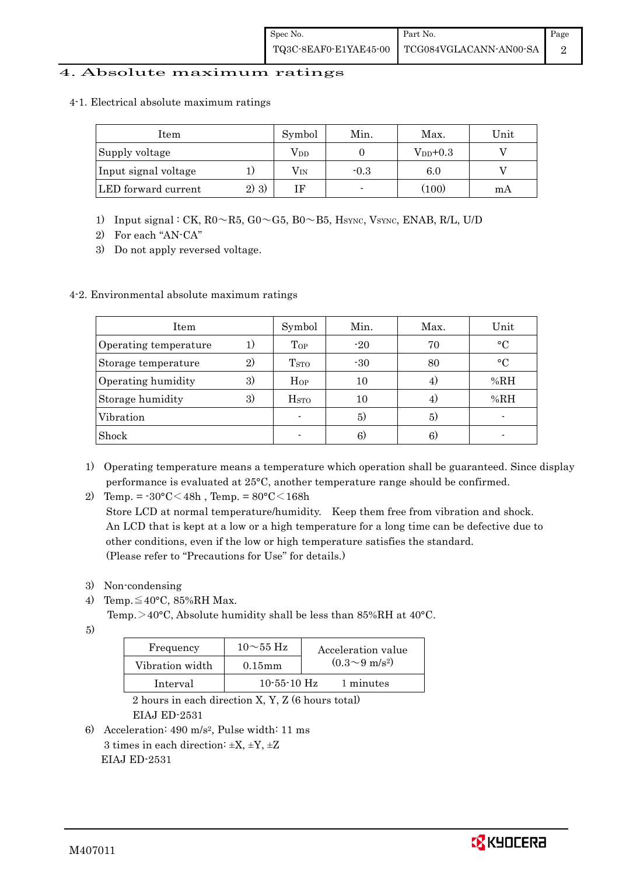### 4. Absolute maximum ratings

4-1. Electrical absolute maximum ratings

| Item                 |       | Symbol | Min.   | Max.          | Unit |
|----------------------|-------|--------|--------|---------------|------|
| Supply voltage       |       | Vpd    |        | $V_{DD}$ +0.3 |      |
| Input signal voltage |       | Vın    | $-0.3$ | 6.0           |      |
| LED forward current  | 2) 3) |        |        | (100)         | mA   |

- 1) Input signal : CK, R0~R5, G0~G5, B0~B5, HSYNC, VSYNC, ENAB, R/L, U/D
- 2) For each "AN-CA"
- 3) Do not apply reversed voltage.

#### 4-2. Environmental absolute maximum ratings

| Item                  |              | Symbol                   | Min.  | Max. | Unit        |
|-----------------------|--------------|--------------------------|-------|------|-------------|
| Operating temperature | 1)           | $\mathrm{Top}$           | $-20$ | 70   | $^{\circ}C$ |
| Storage temperature   | $\mathbf{2}$ | T <sub>STO</sub>         | $-30$ | 80   | $^{\circ}C$ |
| Operating humidity    | 3)           | Hop                      | 10    |      | % $RH$      |
| Storage humidity      | 3)           | $_{\mathrm{HSTO}}$       | 10    | 4)   | %RH         |
| Vibration             |              | $\overline{\phantom{0}}$ | 5)    | 5)   |             |
| Shock                 |              |                          | 6)    | 6)   |             |

- 1) Operating temperature means a temperature which operation shall be guaranteed. Since display performance is evaluated at 25°C, another temperature range should be confirmed.
- 2) Temp. =  $-30^{\circ}$ C $<$ 48h, Temp. =  $80^{\circ}$ C $<$ 168h

 Store LCD at normal temperature/humidity. Keep them free from vibration and shock. An LCD that is kept at a low or a high temperature for a long time can be defective due to other conditions, even if the low or high temperature satisfies the standard. (Please refer to "Precautions for Use" for details.)

- 3) Non-condensing
- 4) Temp. $\leq 40^{\circ}$ C, 85%RH Max.

Temp. >40°C, Absolute humidity shall be less than 85%RH at 40°C.

5)

| Frequency       | $10\sim$ 55 Hz | Acceleration value         |
|-----------------|----------------|----------------------------|
| Vibration width | $0.15$ mm      | $(0.3{\sim}9~{\rm m/s^2})$ |
| Interval        | $10-55-10$ Hz  | 1 minutes                  |

 2 hours in each direction X, Y, Z (6 hours total) EIAJ ED-2531

6) Acceleration: 490 m/s2, Pulse width: 11 ms 3 times in each direction:  $\pm X$ ,  $\pm Y$ ,  $\pm Z$ EIAJ ED-2531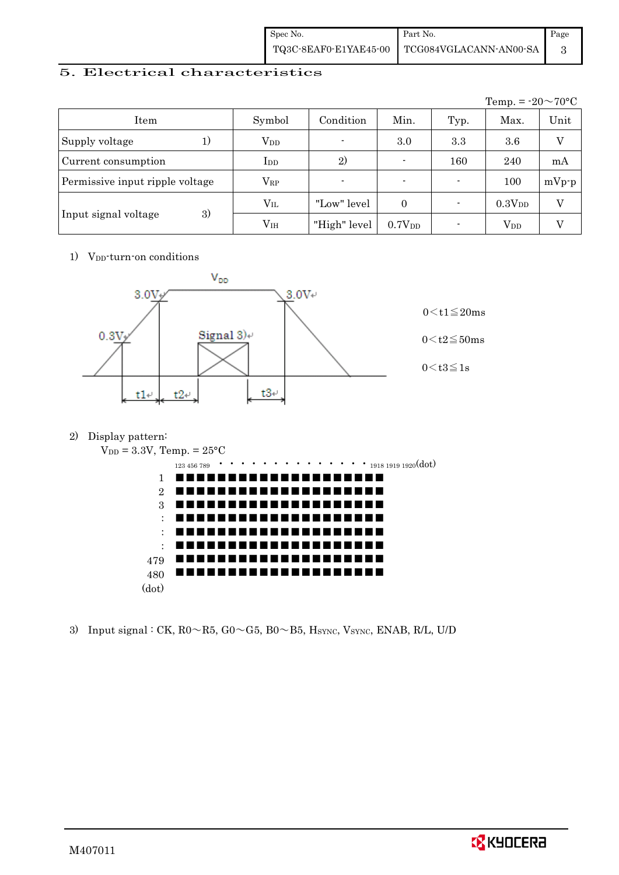| Spec No. | Part No.                                                                                                                                              | Page |
|----------|-------------------------------------------------------------------------------------------------------------------------------------------------------|------|
|          | $\left. {\rm TQ3C\text{-}SEAF0\text{-}E1YAE45\text{-}00} \right.\text{ } \right. \\ \left. \left. {\rm TCG084VGLACANN\text{-}ANO0\text{-}SA} \right.$ |      |

### 5. Electrical characteristics

|                                 |               |                |                    |      | Temp. = $-20 \sim 70$ °C |         |
|---------------------------------|---------------|----------------|--------------------|------|--------------------------|---------|
| Item                            | Symbol        | Condition      | Min.               | Typ. | Max.                     | Unit    |
| Supply voltage<br>1)            | $\rm V_{DD}$  | $\blacksquare$ | 3.0                | 3.3  | 3.6                      |         |
| Current consumption             | $_{\rm{LDD}}$ | 2)             |                    | 160  | 240                      | mA      |
| Permissive input ripple voltage | $\rm V_{RP}$  |                | $\blacksquare$     |      | 100                      | $mVp-p$ |
|                                 | $\rm V_{II}$  | "Low" level    | $\Omega$           |      | 0.3V <sub>DD</sub>       | V       |
| 3)<br>Input signal voltage      | $\rm V_{IH}$  | "High" level   | 0.7V <sub>DD</sub> |      | $V_{DD}$                 |         |

1) V<sub>DD</sub>-turn-on conditions



2) Display pattern:



3) Input signal : CK,  $R0 \sim R5$ ,  $G0 \sim G5$ ,  $B0 \sim B5$ ,  $H_{\text{SYNC}}$ ,  $V_{\text{SYNC}}$ ,  $ENAB$ ,  $R/L$ ,  $U/D$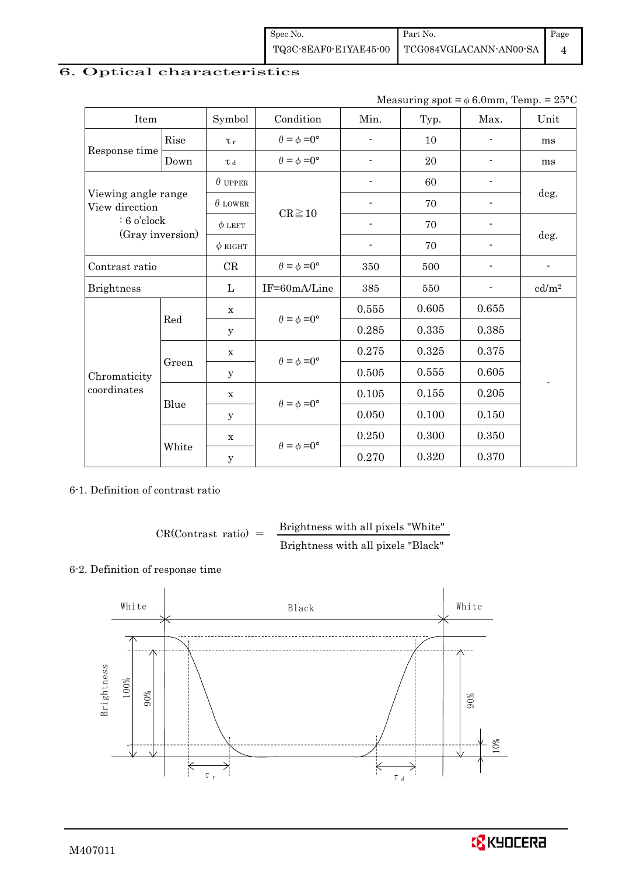| Spec No. | Part No.                                     | Page |
|----------|----------------------------------------------|------|
|          | TQ3C-8EAF0-E1YAE45-00 TCG084VGLACANN-AN00-SA |      |

### 6. Optical characteristics

| Measuring spot = $\phi$ 6.0mm, Temp. = 25°C |
|---------------------------------------------|
|                                             |

| Item                                  |       | Symbol         | Condition                   | Min.                     | Typ.  | Max.  | Unit              |
|---------------------------------------|-------|----------------|-----------------------------|--------------------------|-------|-------|-------------------|
|                                       | Rise  | $\tau_r$       | $\theta = \phi = 0^{\circ}$ | $\overline{a}$           | 10    |       | ms                |
| Response time                         | Down  | T d            | $\theta = \phi = 0^{\circ}$ |                          | 20    |       | ms                |
|                                       |       | $\theta$ upper |                             |                          | 60    |       |                   |
| Viewing angle range<br>View direction |       | $\theta$ LOWER |                             |                          | 70    |       | deg.              |
| $: 6$ o'clock                         |       | $\phi$ LEFT    | $CR \ge 10$                 | $\overline{\phantom{a}}$ | 70    |       |                   |
| (Gray inversion)                      |       | $\phi$ RIGHT   |                             | $\overline{\phantom{a}}$ | 70    |       | deg.              |
| Contrast ratio                        |       | $\rm CR$       | $\theta = \phi = 0^{\circ}$ | 350                      | 500   |       | $\blacksquare$    |
| <b>Brightness</b>                     |       | L              | IF=60mA/Line                | 385                      | 550   |       | cd/m <sup>2</sup> |
|                                       | Red   | $\mathbf x$    | $\theta = \phi = 0^{\circ}$ | $0.555\,$                | 0.605 | 0.655 |                   |
|                                       |       | У              |                             | 0.285                    | 0.335 | 0.385 |                   |
|                                       |       | $\mathbf X$    | $\theta = \phi = 0^{\circ}$ | 0.275                    | 0.325 | 0.375 |                   |
| Chromaticity<br>coordinates           | Green | У              |                             | 0.505                    | 0.555 | 0.605 |                   |
|                                       |       | $\mathbf X$    | $\theta = \phi = 0^{\circ}$ | 0.105                    | 0.155 | 0.205 |                   |
|                                       | Blue  | у              |                             | 0.050                    | 0.100 | 0.150 |                   |
|                                       |       | X              | $\theta = \phi = 0^{\circ}$ | 0.250                    | 0.300 | 0.350 |                   |
|                                       | White | y              |                             | 0.270                    | 0.320 | 0.370 |                   |

### 6-1. Definition of contrast ratio

$$
CR(Contrast ratio) = \frac{Brightness with all pixels "White"}
$$
  
Brightness with all pixels "Black"

### 6-2. Definition of response time



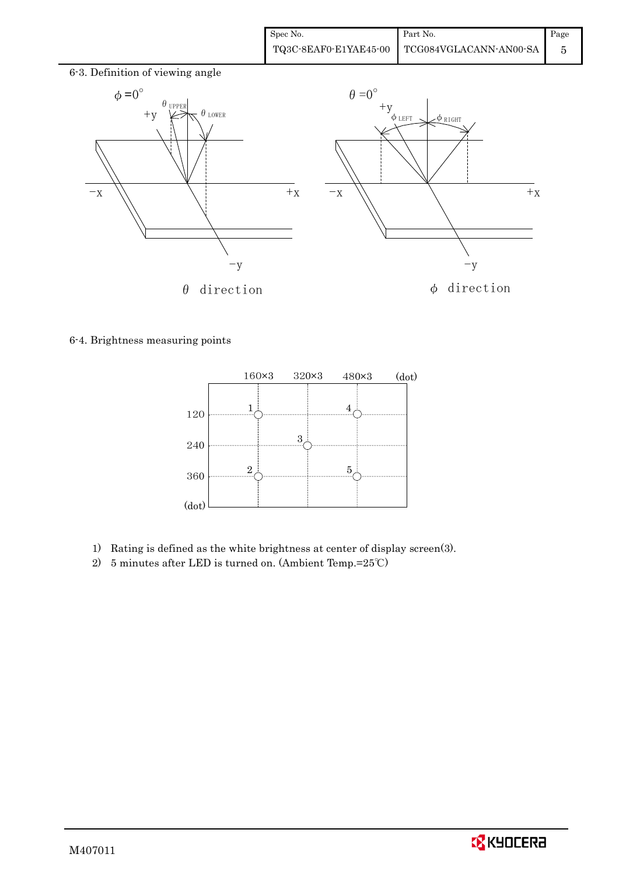

6-4. Brightness measuring points



- 1) Rating is defined as the white brightness at center of display screen(3).
- 2) 5 minutes after LED is turned on. (Ambient Temp.=25℃)

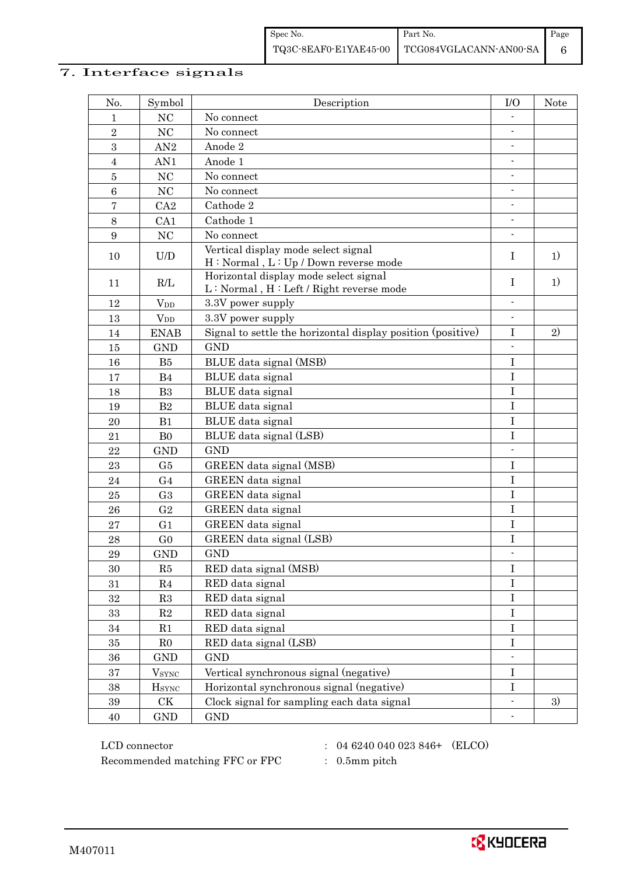### 7. Interface signals

| No.            | Symbol                   | Description                                                                      | $_{\text{IO}}$           | <b>Note</b> |
|----------------|--------------------------|----------------------------------------------------------------------------------|--------------------------|-------------|
| 1              | NC                       | No connect                                                                       |                          |             |
| $\sqrt{2}$     | NC                       | No connect                                                                       | $\overline{\phantom{a}}$ |             |
| 3              | AN2                      | Anode 2                                                                          |                          |             |
| $\overline{4}$ | AN1                      | Anode 1                                                                          |                          |             |
| $\overline{5}$ | NC                       | No connect                                                                       |                          |             |
| $\,6\,$        | NC                       | No connect                                                                       |                          |             |
| $\bf 7$        | CA2                      | Cathode 2                                                                        | $\overline{\phantom{a}}$ |             |
| $8\,$          | CA1                      | Cathode 1                                                                        | $\overline{\phantom{a}}$ |             |
| 9              | NC                       | No connect                                                                       |                          |             |
| 10             | U/D                      | Vertical display mode select signal<br>H: Normal, L: Up / Down reverse mode      | Ι                        | 1)          |
| 11             | R/L                      | Horizontal display mode select signal<br>L: Normal, H: Left / Right reverse mode | I                        | 1)          |
| 12             | $V_{DD}$                 | 3.3V power supply                                                                | $\overline{a}$           |             |
| 13             | <b>V</b> <sub>D</sub>    | 3.3V power supply                                                                | $\blacksquare$           |             |
| 14             | <b>ENAB</b>              | Signal to settle the horizontal display position (positive)                      | $\bf I$                  | 2)          |
| 15             | <b>GND</b>               | <b>GND</b>                                                                       |                          |             |
| 16             | B5                       | BLUE data signal (MSB)                                                           | I                        |             |
| 17             | B <sub>4</sub>           | BLUE data signal                                                                 | $\mathbf I$              |             |
| 18             | B <sub>3</sub>           | BLUE data signal                                                                 | $\bf{I}$                 |             |
| 19             | B <sub>2</sub>           | BLUE data signal                                                                 | $\bf I$                  |             |
| 20             | B1                       | BLUE data signal                                                                 | $\mathbf I$              |             |
| 21             | B <sub>0</sub>           | BLUE data signal (LSB)                                                           | $\bf I$                  |             |
| 22             | <b>GND</b>               | <b>GND</b>                                                                       | $\blacksquare$           |             |
| 23             | G5                       | GREEN data signal (MSB)                                                          | $\bf I$                  |             |
| 24             | G <sub>4</sub>           | GREEN data signal                                                                | $\bf I$                  |             |
| 25             | G <sub>3</sub>           | GREEN data signal                                                                | $\mathbf I$              |             |
| 26             | G <sub>2</sub>           | GREEN data signal                                                                | $\mathbf I$              |             |
| $\sqrt{27}$    | G <sub>1</sub>           | GREEN data signal                                                                | $\bf I$                  |             |
| 28             | G <sub>0</sub>           | GREEN data signal (LSB)                                                          | $\mathbf I$              |             |
| 29             | <b>GND</b>               | <b>GND</b>                                                                       | $\blacksquare$           |             |
| 30             | R5                       | RED data signal (MSB)                                                            | $\bf I$                  |             |
| 31             | R4                       | RED data signal                                                                  | $\bf I$                  |             |
| 32             | R3                       | RED data signal                                                                  | $\mathbf I$              |             |
| 33             | $\mathbf{R}2$            | RED data signal                                                                  | $\bf I$                  |             |
| 34             | R1                       | RED data signal                                                                  | $\mathbf I$              |             |
| 35             | R <sub>0</sub>           | RED data signal (LSB)                                                            | $\bf I$                  |             |
| 36             | <b>GND</b>               | <b>GND</b>                                                                       | $\overline{a}$           |             |
| 37             | <b>V</b> <sub>SYNC</sub> | Vertical synchronous signal (negative)                                           | $\bf{I}$                 |             |
| 38             | <b>H</b> <sub>SYNC</sub> | Horizontal synchronous signal (negative)                                         | $\bf I$                  |             |
| 39             | $\mathrm{C}\mathrm{K}$   | Clock signal for sampling each data signal                                       | $\blacksquare$           | 3)          |
| 40             | $\mathop{\mathrm{GND}}$  | $\mathop{\rm GND}$                                                               |                          |             |

 $LCD \text{ connector}$  : 04 6240 040 023 846+ (ELCO) Recommended matching FFC or FPC : 0.5mm pitch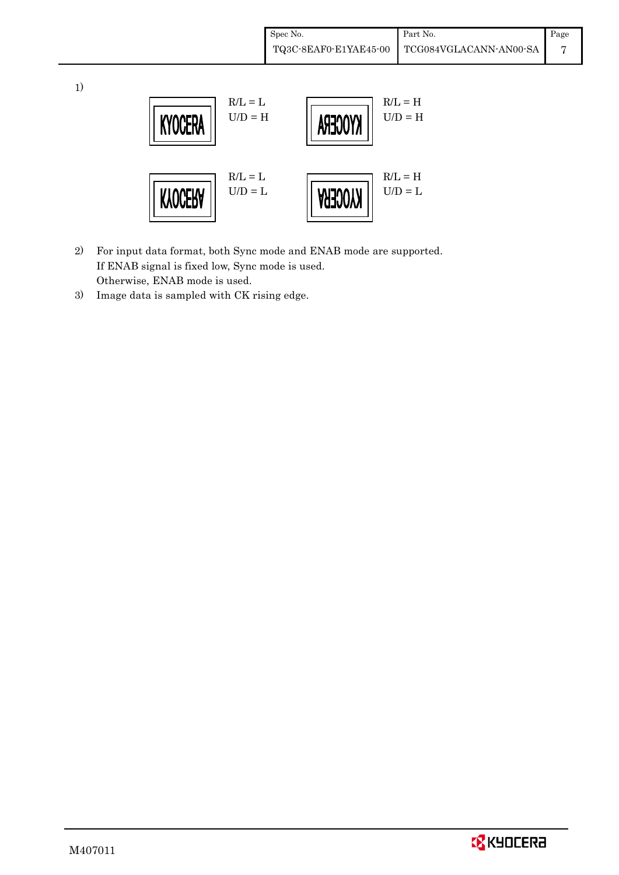| Spec No.              | Part No.                              | Page |
|-----------------------|---------------------------------------|------|
| TQ3C-8EAF0-E1YAE45-00 | $\backslash$   TCG084VGLACANN-AN00-SA |      |

 $R/L = L$   $R/L = H$  $U/D = H$   $\left|\left|\right. \left\| \right. \left\| \right. \left\| \right. \left\| \right. \left\| \right. \left\| \right. \left\| \right. \left\| \right. \left\| \right. \left\| \right. \left\| \right. \left\| \right. \left\| \right. \left\| \right. \left\| \right. \left\| \right. \left\| \right. \left\| \right. \left\| \right. \left\| \right. \left\| \right. \left\| \right. \left\| \right. \left\| \right. \left\| \right. \left\| \right. \left\| \right. \left\| \right. \left\| \right. \left\$ **KYOCER**  $R/L = L$   $R/L = H$ **KYOCERA**  $U/D = \Gamma$  || **AHJOOY** ||  $D/D = \Gamma$ 

- 2) For input data format, both Sync mode and ENAB mode are supported. If ENAB signal is fixed low, Sync mode is used. Otherwise, ENAB mode is used.
- 3) Image data is sampled with CK rising edge.

1)

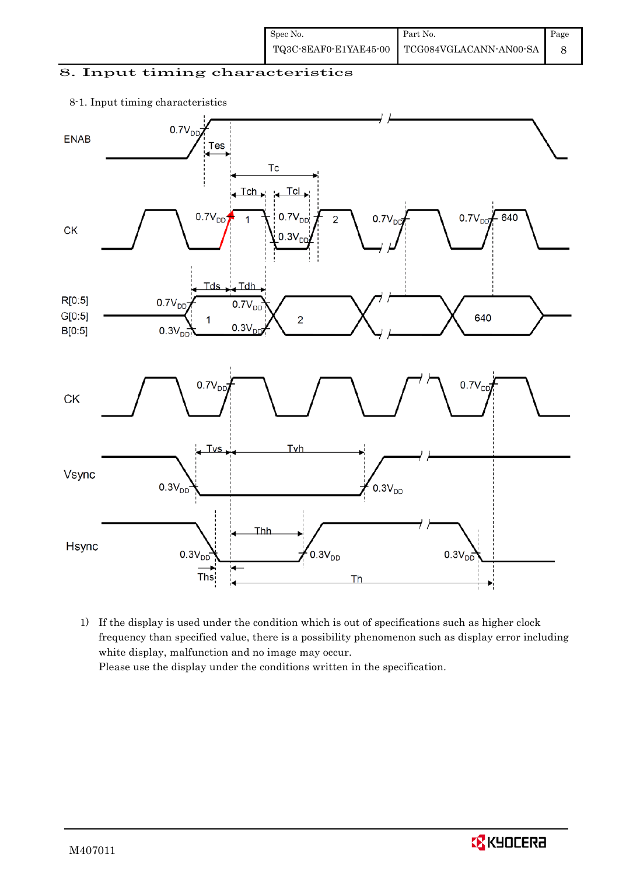| Spec No. | Part No.                                                                                                                      | Page |
|----------|-------------------------------------------------------------------------------------------------------------------------------|------|
|          | $\left. {\color{red}\textbf{TQ3C-8EAF0-E1YAE45-00}\quad} \right  \left. {\color{red}\textbf{TCG084VGLACANN-ANO0-SA}} \right.$ |      |

### 8. Input timing characteristics

#### 8-1. Input timing characteristics



1) If the display is used under the condition which is out of specifications such as higher clock frequency than specified value, there is a possibility phenomenon such as display error including white display, malfunction and no image may occur. Please use the display under the conditions written in the specification.

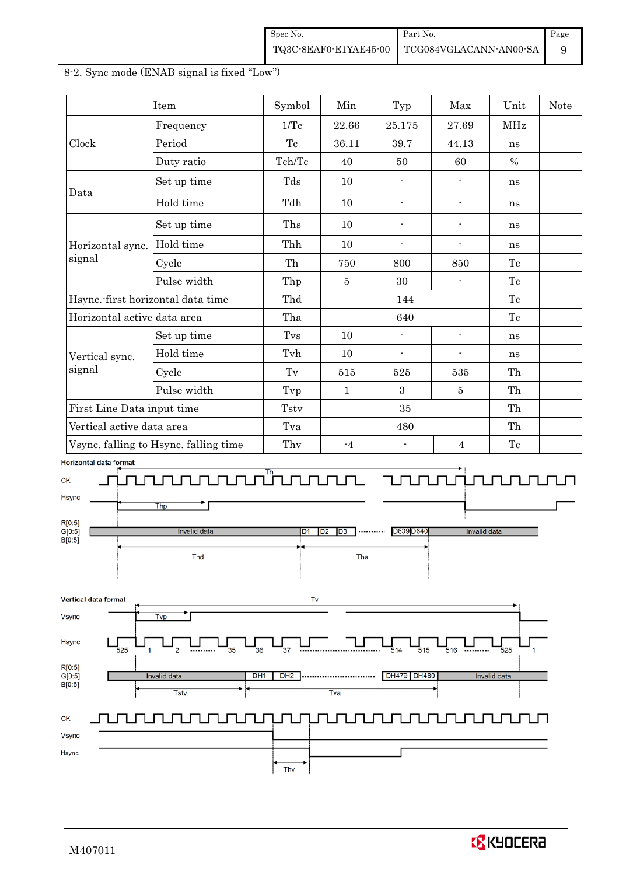| Spec No. | Part No.                                     | Page |
|----------|----------------------------------------------|------|
|          | TQ3C-8EAF0-E1YAE45-00 TCG084VGLACANN-AN00-SA |      |

|                                                                             | Item                                                 | Symbol                | Min                                          | Typ                                                                                                                                                                                                                                                                                                                                                                                                                                                                                                                         | Max                      | Unit                | <b>Note</b> |
|-----------------------------------------------------------------------------|------------------------------------------------------|-----------------------|----------------------------------------------|-----------------------------------------------------------------------------------------------------------------------------------------------------------------------------------------------------------------------------------------------------------------------------------------------------------------------------------------------------------------------------------------------------------------------------------------------------------------------------------------------------------------------------|--------------------------|---------------------|-------------|
|                                                                             | Frequency                                            | 1/Tc                  | 22.66                                        | 25.175                                                                                                                                                                                                                                                                                                                                                                                                                                                                                                                      | 27.69                    | MHz                 |             |
| Clock                                                                       | Period                                               | Tc                    | 36.11                                        | 39.7                                                                                                                                                                                                                                                                                                                                                                                                                                                                                                                        | 44.13                    | ns                  |             |
|                                                                             | Duty ratio                                           | Tch/Tc                | 40                                           | 50                                                                                                                                                                                                                                                                                                                                                                                                                                                                                                                          | 60                       | $\%$                |             |
| Data                                                                        | Set up time                                          | $\mathrm{Tds}$        | 10                                           | $\overline{\phantom{a}}$                                                                                                                                                                                                                                                                                                                                                                                                                                                                                                    | $\overline{\phantom{a}}$ | ns                  |             |
|                                                                             | Hold time                                            | Tdh                   | 10                                           | $\frac{1}{2}$                                                                                                                                                                                                                                                                                                                                                                                                                                                                                                               | $\overline{\phantom{a}}$ | ns                  |             |
|                                                                             | Set up time                                          | Ths                   | 10                                           | $\blacksquare$                                                                                                                                                                                                                                                                                                                                                                                                                                                                                                              | $\overline{\phantom{a}}$ | ns                  |             |
| Horizontal sync.                                                            | Hold time                                            | Thh                   | 10                                           | $\overline{\phantom{a}}$                                                                                                                                                                                                                                                                                                                                                                                                                                                                                                    | $\overline{\phantom{a}}$ | ns                  |             |
| signal                                                                      | Cycle                                                | Th                    | 750                                          | 800                                                                                                                                                                                                                                                                                                                                                                                                                                                                                                                         | 850                      | Tc                  |             |
|                                                                             | Pulse width                                          | Thp                   | $\bf 5$                                      | 30                                                                                                                                                                                                                                                                                                                                                                                                                                                                                                                          | $\blacksquare$           | Tc                  |             |
|                                                                             | Hsync.-first horizontal data time                    | Thd                   |                                              | 144                                                                                                                                                                                                                                                                                                                                                                                                                                                                                                                         |                          | Tc                  |             |
| Horizontal active data area                                                 |                                                      | Tha                   |                                              | 640                                                                                                                                                                                                                                                                                                                                                                                                                                                                                                                         |                          | $\operatorname{Te}$ |             |
|                                                                             | Set up time                                          | Tvs                   | 10                                           |                                                                                                                                                                                                                                                                                                                                                                                                                                                                                                                             | $\overline{\phantom{a}}$ | ns                  |             |
| Vertical sync.                                                              | Hold time                                            | Tvh                   | 10                                           | $\blacksquare$                                                                                                                                                                                                                                                                                                                                                                                                                                                                                                              | $\blacksquare$           | ns                  |             |
| signal                                                                      | Cycle                                                | Tv                    | 515                                          | 525                                                                                                                                                                                                                                                                                                                                                                                                                                                                                                                         | 535                      | Th                  |             |
|                                                                             | Pulse width                                          | Tvp                   | $\mathbf{1}$                                 | $\overline{3}$                                                                                                                                                                                                                                                                                                                                                                                                                                                                                                              | $5\,$                    | Th                  |             |
| First Line Data input time                                                  |                                                      | Tstv                  |                                              | 35                                                                                                                                                                                                                                                                                                                                                                                                                                                                                                                          |                          | Th                  |             |
| Vertical active data area                                                   |                                                      | Tva                   |                                              | 480                                                                                                                                                                                                                                                                                                                                                                                                                                                                                                                         |                          | Th                  |             |
|                                                                             | Vsync. falling to Hsync. falling time                | Thy                   | $-4$                                         | $\overline{\phantom{a}}$                                                                                                                                                                                                                                                                                                                                                                                                                                                                                                    | $\overline{4}$           | $\operatorname{Te}$ |             |
| СK<br>Hsync<br>R[0:5]<br>G[0:5]<br>B[0:5]                                   | Thp<br>Invalid data<br>Thd                           | Tununun.<br>D1        | $\overline{D3}$<br>D <sub>2</sub><br><br>Tha | $\begin{tabular}{c} \multicolumn{1}{c} {\textbf{Tr}} & \multicolumn{1}{c} {\textbf{Tr}} \\ \multicolumn{1}{c} {\textbf{Tr}} & \multicolumn{1}{c} {\textbf{Tr}} \\ \multicolumn{1}{c} {\textbf{Tr}} & \multicolumn{1}{c} {\textbf{Tr}} \\ \multicolumn{1}{c} {\textbf{Tr}} & \multicolumn{1}{c} {\textbf{Tr}} \\ \multicolumn{1}{c} {\textbf{Tr}} & \multicolumn{1}{c} {\textbf{Tr}} \\ \multicolumn{1}{c} {\textbf{Tr}} & \multicolumn{1}{c} {\textbf{Tr}} \\ \multicolumn{1}{c} {\textbf{Tr}} & \multicolumn$<br>D639 D640 | Invalid data             |                     |             |
| Vertical data format<br>Vsync<br>Hsync<br>525<br>R[0:5]<br>G[0:5]<br>B[0:5] | Tvp<br>35<br>DH <sub>1</sub><br>Invalid data<br>Tstv | Tv<br>36<br>37<br>DH2 | Tva                                          | 515<br>514<br>DH479 DH480                                                                                                                                                                                                                                                                                                                                                                                                                                                                                                   | 516<br>                  | 525<br>Invalid data |             |
| СK<br>Vsync<br>Hsync                                                        |                                                      | Thy                   |                                              |                                                                                                                                                                                                                                                                                                                                                                                                                                                                                                                             |                          |                     |             |

### 8-2. Sync mode (ENAB signal is fixed "Low")

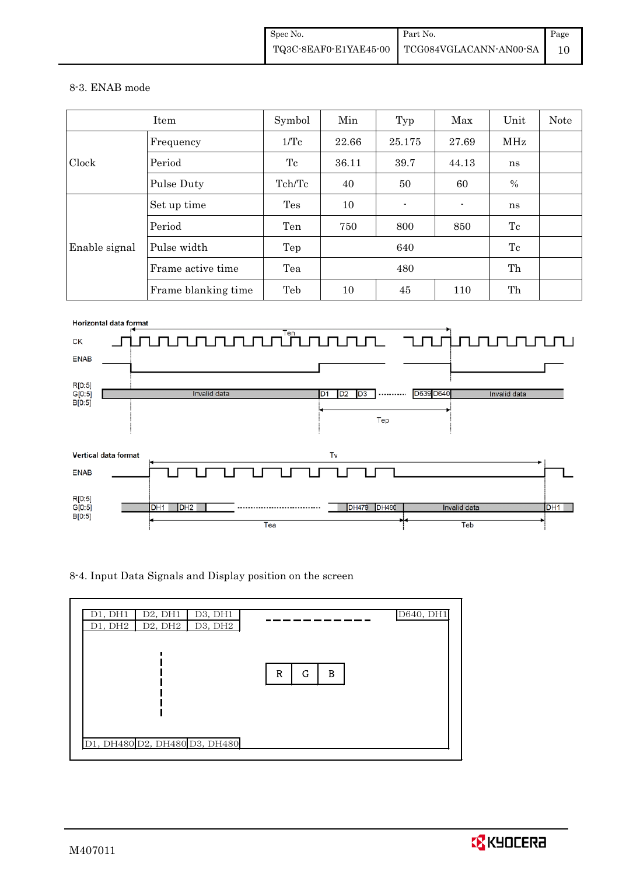#### 8-3. ENAB mode

|               | Item                | Symbol | Min   | Typ    | Max   | Unit | Note |
|---------------|---------------------|--------|-------|--------|-------|------|------|
| Clock         | Frequency           | 1/Tc   | 22.66 | 25.175 | 27.69 | MHz  |      |
|               | Period              | Tc     | 36.11 | 39.7   | 44.13 | ns   |      |
|               | Pulse Duty          | Tch/Tc | 40    | 50     | 60    | $\%$ |      |
| Enable signal | Set up time         | Tes    | 10    |        |       | ns   |      |
|               | Period              | Ten    | 750   | 800    | 850   | Tc   |      |
|               | Pulse width         | Tep    | 640   |        |       | Tc   |      |
|               | Frame active time   | Tea    | 480   |        |       | Th   |      |
|               | Frame blanking time | Teb    | 10    | 45     | 110   | Th   |      |



8-4. Input Data Signals and Display position on the screen



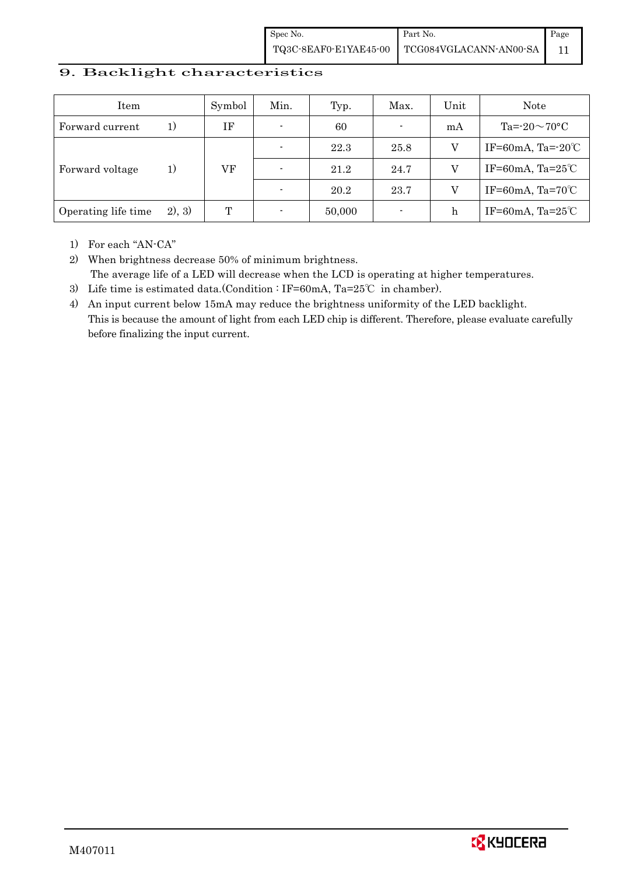| Spec No. | Part No.                                                                                                        | Page |
|----------|-----------------------------------------------------------------------------------------------------------------|------|
|          | $\left. {\color{blue}\text{TQ3C-8EAF0-E1YAE45-00}} \right  {\color{blue}\text{TCG084VGLACANN-ANO0-SA}} \right $ |      |

### 9. Backlight characteristics

| Item                |        | Symbol | Min.                     | Typ.   | Max. | Unit | Note                         |
|---------------------|--------|--------|--------------------------|--------|------|------|------------------------------|
| Forward current     | 1)     | ΙF     |                          | 60     |      | mA   | Ta= $-20\sim70$ °C           |
| Forward voltage     | 1)     |        |                          | 22.3   | 25.8 | V    | IF=60mA, Ta= $-20^{\circ}$ C |
|                     |        | VF     |                          | 21.2   | 24.7 | V    | IF=60mA, Ta= $25^{\circ}$ C  |
|                     |        |        |                          | 20.2   | 23.7 | V    | IF=60mA, Ta= $70^{\circ}$ C  |
| Operating life time | 2), 3) | Т      | $\overline{\phantom{a}}$ | 50,000 |      | h    | IF=60mA, Ta= $25^{\circ}$ C  |

1) For each "AN-CA"

2) When brightness decrease 50% of minimum brightness. The average life of a LED will decrease when the LCD is operating at higher temperatures.

- 3) Life time is estimated data.(Condition : IF=60mA, Ta=25℃ in chamber).
- 4) An input current below 15mA may reduce the brightness uniformity of the LED backlight. This is because the amount of light from each LED chip is different. Therefore, please evaluate carefully before finalizing the input current.

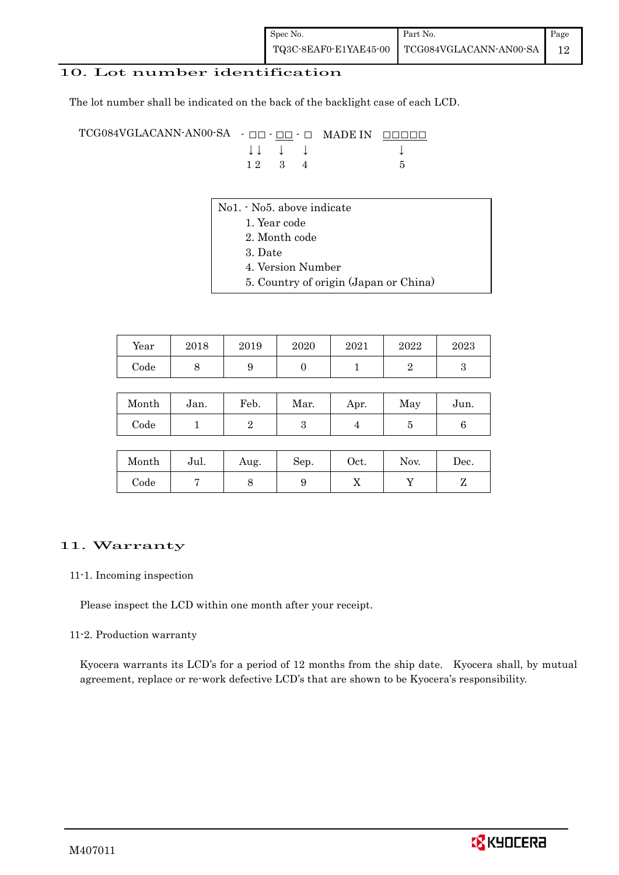### 10. Lot number identification

The lot number shall be indicated on the back of the backlight case of each LCD.

TCG084VGLACANN-AN00-SA - □□ - □□ - □ MADE IN □□□□□ ↓ ↓ ↓ ↓ ↓  $1 2 3 4 5$ 

- No1. No5. above indicate
	- 1. Year code
		- 2. Month code
		- 3. Date
		- 4. Version Number
		- 5. Country of origin (Japan or China)

| Year | $_{2018}$ | 2019 | 2020 | 2021 | 2022 | 2023 |
|------|-----------|------|------|------|------|------|
| Code |           | ັ    |      |      |      |      |

| Month      | Jan. | Feb. | Mar. | Apr. | May | Jun. |
|------------|------|------|------|------|-----|------|
| $\rm Code$ |      |      |      |      |     |      |

| Month | Jul. | Aug. | Sep. | Oct. | Nov. | Dec. |
|-------|------|------|------|------|------|------|
| Code  |      | ◡    |      | 77   |      |      |

#### 11. Warranty

#### 11-1. Incoming inspection

Please inspect the LCD within one month after your receipt.

#### 11-2. Production warranty

 Kyocera warrants its LCD's for a period of 12 months from the ship date. Kyocera shall, by mutual agreement, replace or re-work defective LCD's that are shown to be Kyocera's responsibility.

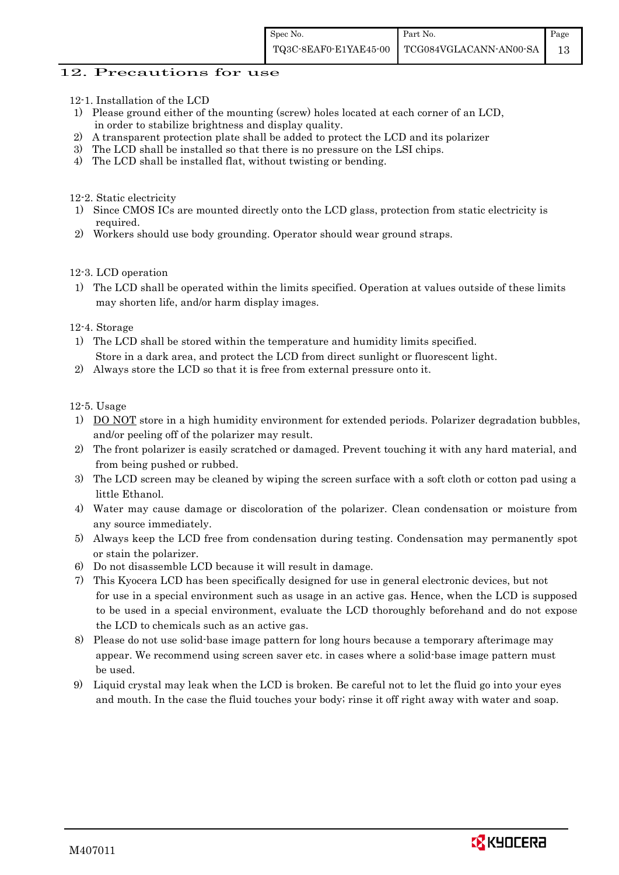### 12. Precautions for use

- 12-1. Installation of the LCD
- 1) Please ground either of the mounting (screw) holes located at each corner of an LCD, in order to stabilize brightness and display quality.
- 2) A transparent protection plate shall be added to protect the LCD and its polarizer
- 3) The LCD shall be installed so that there is no pressure on the LSI chips.
- 4) The LCD shall be installed flat, without twisting or bending.

12-2. Static electricity

- 1) Since CMOS ICs are mounted directly onto the LCD glass, protection from static electricity is required.
- 2) Workers should use body grounding. Operator should wear ground straps.

#### 12-3. LCD operation

1) The LCD shall be operated within the limits specified. Operation at values outside of these limits may shorten life, and/or harm display images.

#### 12-4. Storage

- 1) The LCD shall be stored within the temperature and humidity limits specified. Store in a dark area, and protect the LCD from direct sunlight or fluorescent light.
- 2) Always store the LCD so that it is free from external pressure onto it.

12-5. Usage

- 1) DO NOT store in a high humidity environment for extended periods. Polarizer degradation bubbles, and/or peeling off of the polarizer may result.
- 2) The front polarizer is easily scratched or damaged. Prevent touching it with any hard material, and from being pushed or rubbed.
- 3) The LCD screen may be cleaned by wiping the screen surface with a soft cloth or cotton pad using a little Ethanol.
- 4) Water may cause damage or discoloration of the polarizer. Clean condensation or moisture from any source immediately.
- 5) Always keep the LCD free from condensation during testing. Condensation may permanently spot or stain the polarizer.
- 6) Do not disassemble LCD because it will result in damage.
- 7) This Kyocera LCD has been specifically designed for use in general electronic devices, but not for use in a special environment such as usage in an active gas. Hence, when the LCD is supposed to be used in a special environment, evaluate the LCD thoroughly beforehand and do not expose the LCD to chemicals such as an active gas.
- 8) Please do not use solid-base image pattern for long hours because a temporary afterimage may appear. We recommend using screen saver etc. in cases where a solid-base image pattern must be used.
- 9) Liquid crystal may leak when the LCD is broken. Be careful not to let the fluid go into your eyes and mouth. In the case the fluid touches your body; rinse it off right away with water and soap.

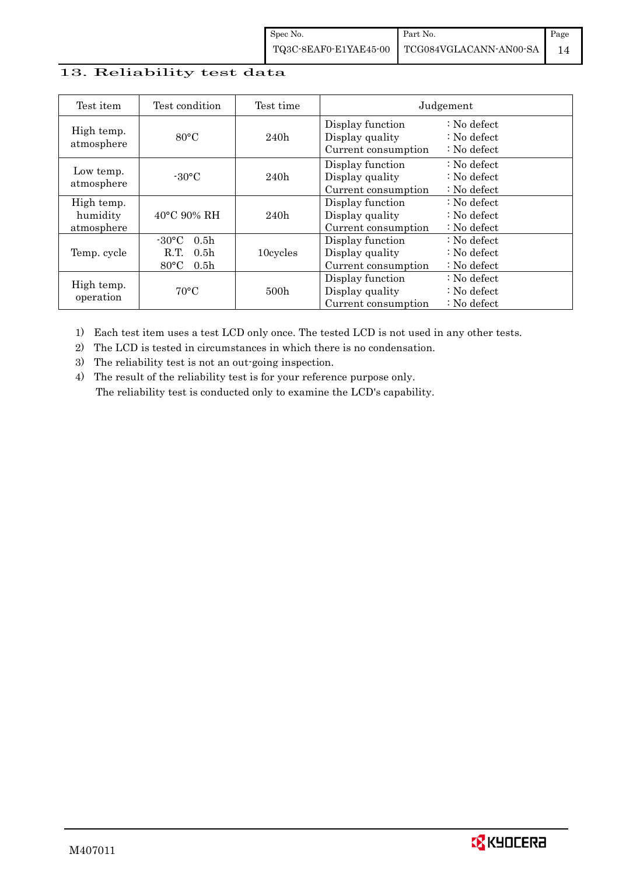### 13. Reliability test data

| Test item                            | Test condition                                                                                        | Test time |                                                            | Judgement                                                         |
|--------------------------------------|-------------------------------------------------------------------------------------------------------|-----------|------------------------------------------------------------|-------------------------------------------------------------------|
| High temp.<br>atmosphere             | $80^{\circ}$ C                                                                                        | 240h      | Display function<br>Display quality<br>Current consumption | $: No$ defect<br>$\therefore$ No defect<br>$\therefore$ No defect |
| Low temp.<br>atmosphere              | $-30^{\circ}$ C                                                                                       | 240h      | Display function<br>Display quality<br>Current consumption | $: No$ defect<br>$\therefore$ No defect<br>$\therefore$ No defect |
| High temp.<br>humidity<br>atmosphere | $40^{\circ}$ C 90% RH                                                                                 | 240h      | Display function<br>Display quality<br>Current consumption | : No defect<br>$\therefore$ No defect<br>$: No$ defect            |
| Temp. cycle                          | $-30^{\circ}$ C<br>0.5 <sub>h</sub><br>0.5 <sub>h</sub><br>R.T.<br>$80^{\circ}$ C<br>0.5 <sub>h</sub> | 10cycles  | Display function<br>Display quality<br>Current consumption | $: No$ defect<br>$\therefore$ No defect<br>$\therefore$ No defect |
| High temp.<br>operation              | $70^{\circ}$ C                                                                                        | 500h      | Display function<br>Display quality<br>Current consumption | $: No$ defect<br>$\therefore$ No defect<br>$: No$ defect          |

1) Each test item uses a test LCD only once. The tested LCD is not used in any other tests.

2) The LCD is tested in circumstances in which there is no condensation.

3) The reliability test is not an out-going inspection.

4) The result of the reliability test is for your reference purpose only. The reliability test is conducted only to examine the LCD's capability.

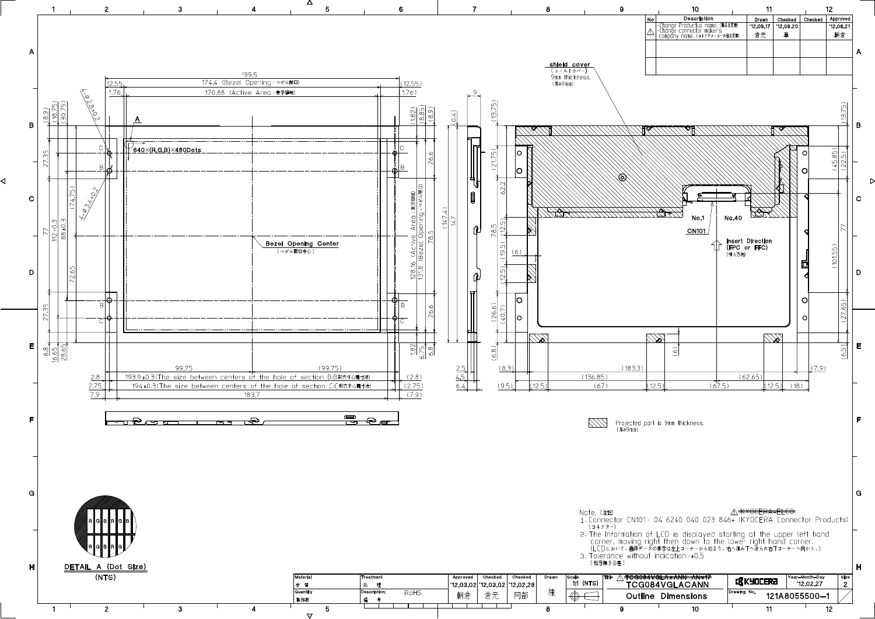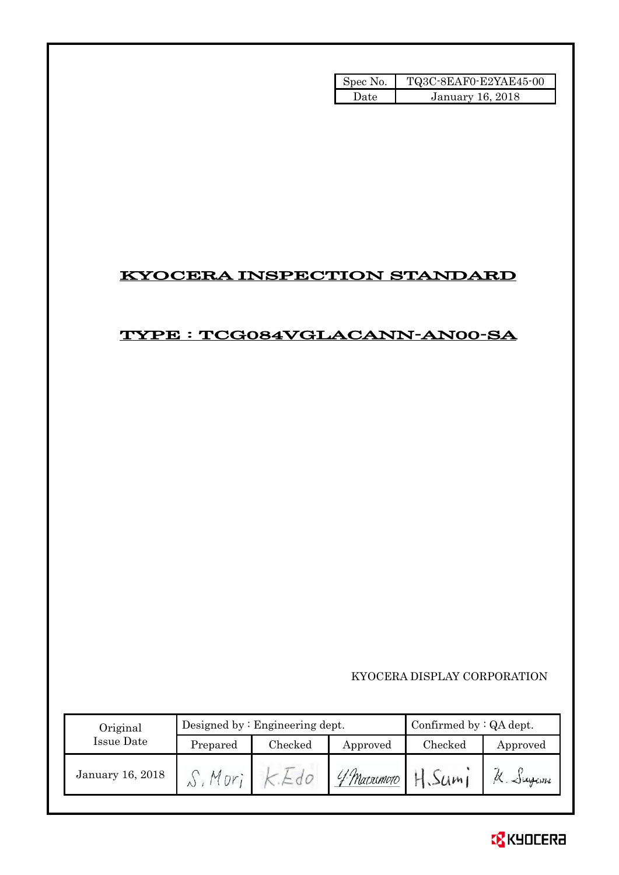| Spec No. | TQ3C-8EAF0-E2YAE45-00 |
|----------|-----------------------|
| l late   | January 16, 2018      |

### KYOCERA INSPECTION STANDARD

### TYPE : TCG084VGLACANN-AN00-SA

KYOCERA DISPLAY CORPORATION

| Original         |          | Designed by $:$ Engineering dept. |             | Confirmed by $:QA$ dept. |                    |  |
|------------------|----------|-----------------------------------|-------------|--------------------------|--------------------|--|
| Issue Date       | Prepared | Checked                           | Approved    | Checked                  | Approved           |  |
| January 16, 2018 |          |                                   | 4 Marximoro | $50m_1$                  | $\propto$ . Sugani |  |

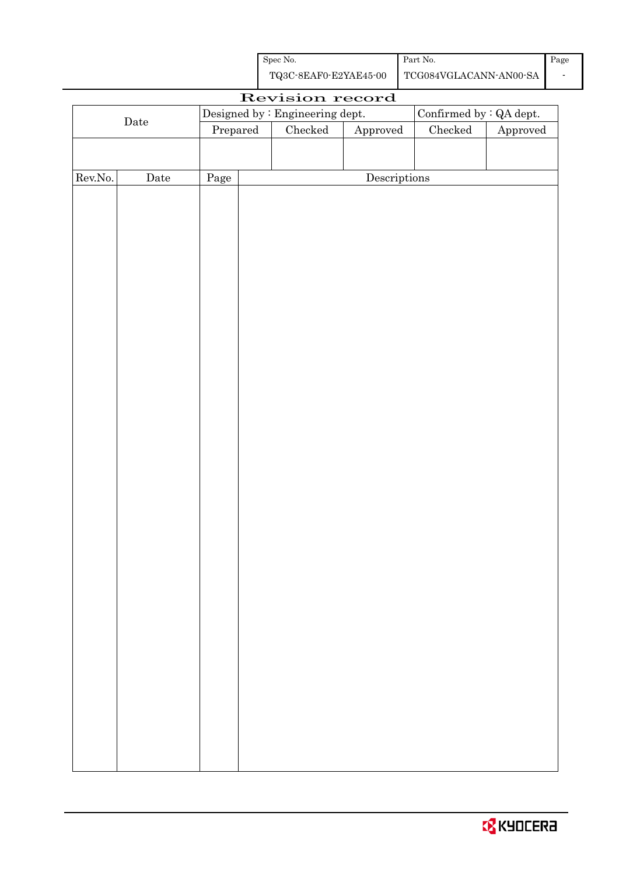| Spec No.              | Part No.               | Page |
|-----------------------|------------------------|------|
| TQ3C-8EAF0-E2YAE45-00 | TCG084VGLACANN-AN00-SA |      |

| Revision record  |             |                                  |  |                                 |                        |                                |          |
|------------------|-------------|----------------------------------|--|---------------------------------|------------------------|--------------------------------|----------|
|                  |             |                                  |  | Designed by : Engineering dept. |                        | Confirmed by $\colon$ QA dept. |          |
|                  | $\rm{Date}$ | $\ensuremath{\mathrm{Prepared}}$ |  | $\rm Checked$                   | ${\Large\bf Approved}$ | Checked                        | Approved |
|                  |             |                                  |  |                                 |                        |                                |          |
|                  |             |                                  |  |                                 |                        |                                |          |
| ${\rm Rev. No.}$ | Date        | Page                             |  |                                 | Descriptions           |                                |          |
|                  |             |                                  |  |                                 |                        |                                |          |
|                  |             |                                  |  |                                 |                        |                                |          |
|                  |             |                                  |  |                                 |                        |                                |          |
|                  |             |                                  |  |                                 |                        |                                |          |
|                  |             |                                  |  |                                 |                        |                                |          |
|                  |             |                                  |  |                                 |                        |                                |          |
|                  |             |                                  |  |                                 |                        |                                |          |
|                  |             |                                  |  |                                 |                        |                                |          |
|                  |             |                                  |  |                                 |                        |                                |          |
|                  |             |                                  |  |                                 |                        |                                |          |
|                  |             |                                  |  |                                 |                        |                                |          |
|                  |             |                                  |  |                                 |                        |                                |          |
|                  |             |                                  |  |                                 |                        |                                |          |
|                  |             |                                  |  |                                 |                        |                                |          |
|                  |             |                                  |  |                                 |                        |                                |          |
|                  |             |                                  |  |                                 |                        |                                |          |
|                  |             |                                  |  |                                 |                        |                                |          |
|                  |             |                                  |  |                                 |                        |                                |          |
|                  |             |                                  |  |                                 |                        |                                |          |
|                  |             |                                  |  |                                 |                        |                                |          |
|                  |             |                                  |  |                                 |                        |                                |          |
|                  |             |                                  |  |                                 |                        |                                |          |
|                  |             |                                  |  |                                 |                        |                                |          |
|                  |             |                                  |  |                                 |                        |                                |          |
|                  |             |                                  |  |                                 |                        |                                |          |
|                  |             |                                  |  |                                 |                        |                                |          |
|                  |             |                                  |  |                                 |                        |                                |          |
|                  |             |                                  |  |                                 |                        |                                |          |
|                  |             |                                  |  |                                 |                        |                                |          |
|                  |             |                                  |  |                                 |                        |                                |          |
|                  |             |                                  |  |                                 |                        |                                |          |
|                  |             |                                  |  |                                 |                        |                                |          |
|                  |             |                                  |  |                                 |                        |                                |          |
|                  |             |                                  |  |                                 |                        |                                |          |
|                  |             |                                  |  |                                 |                        |                                |          |
|                  |             |                                  |  |                                 |                        |                                |          |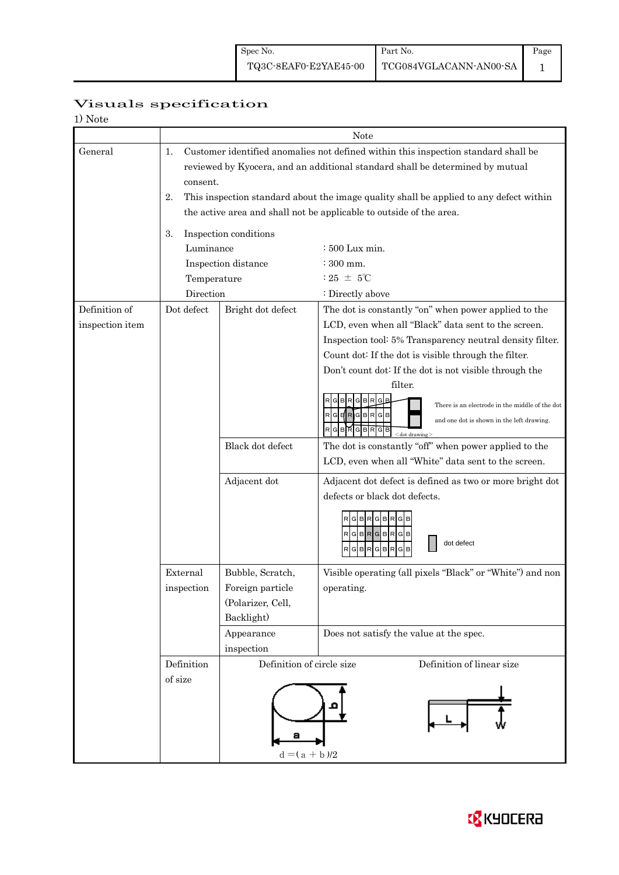Page 1

### Visuals specification

| 1) Note         |                                                                                                                                                                     |                           | Note                                                                                          |  |  |  |  |  |
|-----------------|---------------------------------------------------------------------------------------------------------------------------------------------------------------------|---------------------------|-----------------------------------------------------------------------------------------------|--|--|--|--|--|
|                 | 1.                                                                                                                                                                  |                           |                                                                                               |  |  |  |  |  |
| General         | Customer identified anomalies not defined within this inspection standard shall be<br>reviewed by Kyocera, and an additional standard shall be determined by mutual |                           |                                                                                               |  |  |  |  |  |
|                 |                                                                                                                                                                     |                           |                                                                                               |  |  |  |  |  |
|                 | consent.                                                                                                                                                            |                           |                                                                                               |  |  |  |  |  |
|                 | This inspection standard about the image quality shall be applied to any defect within<br>2.                                                                        |                           |                                                                                               |  |  |  |  |  |
|                 | the active area and shall not be applicable to outside of the area.                                                                                                 |                           |                                                                                               |  |  |  |  |  |
|                 | Inspection conditions<br>3.                                                                                                                                         |                           |                                                                                               |  |  |  |  |  |
|                 | Luminance                                                                                                                                                           |                           | $\div 500$ Lux min.                                                                           |  |  |  |  |  |
|                 |                                                                                                                                                                     | Inspection distance       | $\div 300$ mm.                                                                                |  |  |  |  |  |
|                 | Temperature                                                                                                                                                         |                           | : 25 $\pm$ 5°C                                                                                |  |  |  |  |  |
|                 | Direction                                                                                                                                                           |                           | : Directly above                                                                              |  |  |  |  |  |
| Definition of   | Dot defect                                                                                                                                                          | Bright dot defect         | The dot is constantly "on" when power applied to the                                          |  |  |  |  |  |
| inspection item |                                                                                                                                                                     |                           | LCD, even when all "Black" data sent to the screen.                                           |  |  |  |  |  |
|                 |                                                                                                                                                                     |                           | Inspection tool: 5% Transparency neutral density filter.                                      |  |  |  |  |  |
|                 |                                                                                                                                                                     |                           | Count dot: If the dot is visible through the filter.                                          |  |  |  |  |  |
|                 |                                                                                                                                                                     |                           | Don't count dot: If the dot is not visible through the                                        |  |  |  |  |  |
|                 |                                                                                                                                                                     |                           | filter.                                                                                       |  |  |  |  |  |
|                 |                                                                                                                                                                     |                           | R<br>в<br>G                                                                                   |  |  |  |  |  |
|                 |                                                                                                                                                                     |                           | There is an electrode in the middle of the dot<br>$R$ $G$ $H$ $R$ $G$ $B$ $R$ $G$ $B$         |  |  |  |  |  |
|                 |                                                                                                                                                                     |                           | and one dot is shown in the left drawing.<br><b>GBRGBRGB</b><br><dot drawing<="" td=""></dot> |  |  |  |  |  |
|                 |                                                                                                                                                                     | Black dot defect          | The dot is constantly "off" when power applied to the                                         |  |  |  |  |  |
|                 |                                                                                                                                                                     |                           | LCD, even when all "White" data sent to the screen.                                           |  |  |  |  |  |
|                 |                                                                                                                                                                     | Adjacent dot              | Adjacent dot defect is defined as two or more bright dot                                      |  |  |  |  |  |
|                 |                                                                                                                                                                     |                           | defects or black dot defects.                                                                 |  |  |  |  |  |
|                 |                                                                                                                                                                     |                           | $G$ $B$ $R$ $G$ $B$ $R$ $G$                                                                   |  |  |  |  |  |
|                 |                                                                                                                                                                     |                           | RGBRGBRGB                                                                                     |  |  |  |  |  |
|                 |                                                                                                                                                                     |                           | dot defect                                                                                    |  |  |  |  |  |
|                 |                                                                                                                                                                     |                           | G B R G B R <br>R<br>G<br>в                                                                   |  |  |  |  |  |
|                 | External                                                                                                                                                            | Bubble, Scratch,          | Visible operating (all pixels "Black" or "White") and non                                     |  |  |  |  |  |
|                 | inspection                                                                                                                                                          | Foreign particle          | operating.                                                                                    |  |  |  |  |  |
|                 |                                                                                                                                                                     | (Polarizer, Cell,         |                                                                                               |  |  |  |  |  |
|                 |                                                                                                                                                                     | Backlight)                |                                                                                               |  |  |  |  |  |
|                 |                                                                                                                                                                     | Appearance                | Does not satisfy the value at the spec.                                                       |  |  |  |  |  |
|                 |                                                                                                                                                                     | inspection                |                                                                                               |  |  |  |  |  |
|                 | Definition                                                                                                                                                          | Definition of circle size | Definition of linear size                                                                     |  |  |  |  |  |
|                 | of size                                                                                                                                                             |                           |                                                                                               |  |  |  |  |  |
|                 |                                                                                                                                                                     |                           |                                                                                               |  |  |  |  |  |
|                 |                                                                                                                                                                     |                           |                                                                                               |  |  |  |  |  |
|                 |                                                                                                                                                                     |                           |                                                                                               |  |  |  |  |  |
|                 |                                                                                                                                                                     | а                         |                                                                                               |  |  |  |  |  |
|                 |                                                                                                                                                                     | $d = (a + b)/2$           |                                                                                               |  |  |  |  |  |